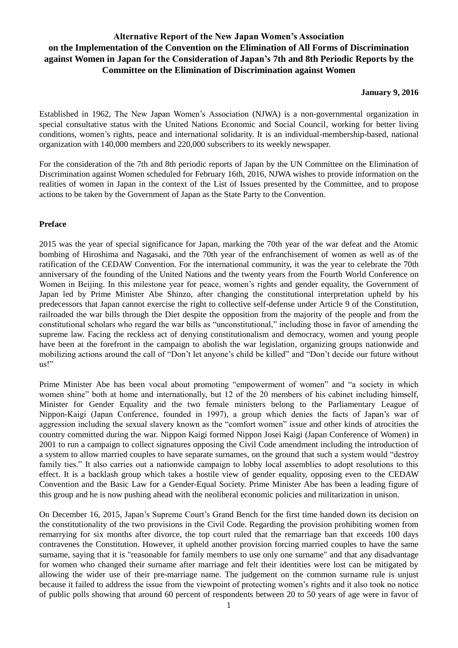# **Alternative Report of the New Japan Women's Association on the Implementation of the Convention on the Elimination of All Forms of Discrimination against Women in Japan for the Consideration of Japan's 7th and 8th Periodic Reports by the Committee on the Elimination of Discrimination against Women**

### **January 9, 2016**

Established in 1962, The New Japan Women's Association (NJWA) is a non-governmental organization in special consultative status with the United Nations Economic and Social Council, working for better living conditions, women's rights, peace and international solidarity. It is an individual-membership-based, national organization with 140,000 members and 220,000 subscribers to its weekly newspaper.

For the consideration of the 7th and 8th periodic reports of Japan by the UN Committee on the Elimination of Discrimination against Women scheduled for February 16th, 2016, NJWA wishes to provide information on the realities of women in Japan in the context of the List of Issues presented by the Committee, and to propose actions to be taken by the Government of Japan as the State Party to the Convention.

# **Preface**

2015 was the year of special significance for Japan, marking the 70th year of the war defeat and the Atomic bombing of Hiroshima and Nagasaki, and the 70th year of the enfranchisement of women as well as of the ratification of the CEDAW Convention. For the international community, it was the year to celebrate the 70th anniversary of the founding of the United Nations and the twenty years from the Fourth World Conference on Women in Beijing. In this milestone year for peace, women's rights and gender equality, the Government of Japan led by Prime Minister Abe Shinzo, after changing the constitutional interpretation upheld by his predecessors that Japan cannot exercise the right to collective self-defense under Article 9 of the Constitution, railroaded the war bills through the Diet despite the opposition from the majority of the people and from the constitutional scholars who regard the war bills as "unconstitutional," including those in favor of amending the supreme law. Facing the reckless act of denying constitutionalism and democracy, women and young people have been at the forefront in the campaign to abolish the war legislation, organizing groups nationwide and mobilizing actions around the call of "Don't let anyone's child be killed" and "Don't decide our future without us!"

Prime Minister Abe has been vocal about promoting "empowerment of women" and "a society in which women shine" both at home and internationally, but 12 of the 20 members of his cabinet including himself, Minister for Gender Equality and the two female ministers belong to the Parliamentary League of Nippon-Kaigi (Japan Conference, founded in 1997), a group which denies the facts of Japan's war of aggression including the sexual slavery known as the "comfort women" issue and other kinds of atrocities the country committed during the war. Nippon Kaigi formed Nippon Josei Kaigi (Japan Conference of Women) in 2001 to run a campaign to collect signatures opposing the Civil Code amendment including the introduction of a system to allow married couples to have separate surnames, on the ground that such a system would "destroy family ties." It also carries out a nationwide campaign to lobby local assemblies to adopt resolutions to this effect. It is a backlash group which takes a hostile view of gender equality, opposing even to the CEDAW Convention and the Basic Law for a Gender-Equal Society. Prime Minister Abe has been a leading figure of this group and he is now pushing ahead with the neoliberal economic policies and militarization in unison.

On December 16, 2015, Japan's Supreme Court's Grand Bench for the first time handed down its decision on the constitutionality of the two provisions in the Civil Code. Regarding the provision prohibiting women from remarrying for six months after divorce, the top court ruled that the remarriage ban that exceeds 100 days contravenes the Constitution. However, it upheld another provision forcing married couples to have the same surname, saying that it is "reasonable for family members to use only one surname" and that any disadvantage for women who changed their surname after marriage and felt their identities were lost can be mitigated by allowing the wider use of their pre-marriage name. The judgement on the common surname rule is unjust because it failed to address the issue from the viewpoint of protecting women's rights and it also took no notice of public polls showing that around 60 percent of respondents between 20 to 50 years of age were in favor of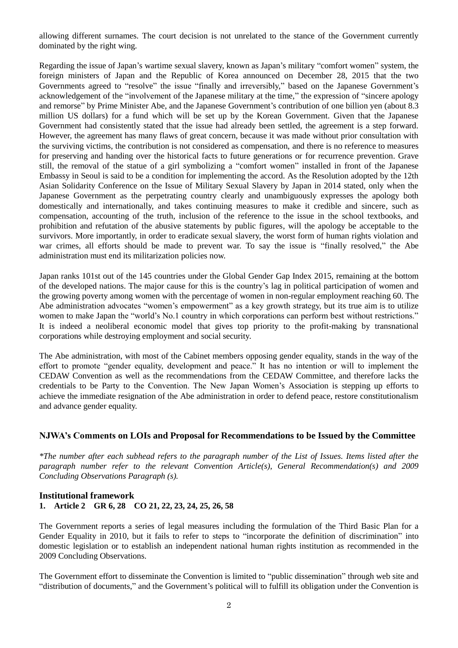allowing different surnames. The court decision is not unrelated to the stance of the Government currently dominated by the right wing.

Regarding the issue of Japan's wartime sexual slavery, known as Japan's military "comfort women" system, the foreign ministers of Japan and the Republic of Korea announced on December 28, 2015 that the two Governments agreed to "resolve" the issue "finally and irreversibly," based on the Japanese Government's acknowledgement of the "involvement of the Japanese military at the time," the expression of "sincere apology and remorse" by Prime Minister Abe, and the Japanese Government's contribution of one billion yen (about 8.3 million US dollars) for a fund which will be set up by the Korean Government. Given that the Japanese Government had consistently stated that the issue had already been settled, the agreement is a step forward. However, the agreement has many flaws of great concern, because it was made without prior consultation with the surviving victims, the contribution is not considered as compensation, and there is no reference to measures for preserving and handing over the historical facts to future generations or for recurrence prevention. Grave still, the removal of the statue of a girl symbolizing a "comfort women" installed in front of the Japanese Embassy in Seoul is said to be a condition for implementing the accord. As the Resolution adopted by the 12th Asian Solidarity Conference on the Issue of Military Sexual Slavery by Japan in 2014 stated, only when the Japanese Government as the perpetrating country clearly and unambiguously expresses the apology both domestically and internationally, and takes continuing measures to make it credible and sincere, such as compensation, accounting of the truth, inclusion of the reference to the issue in the school textbooks, and prohibition and refutation of the abusive statements by public figures, will the apology be acceptable to the survivors. More importantly, in order to eradicate sexual slavery, the worst form of human rights violation and war crimes, all efforts should be made to prevent war. To say the issue is "finally resolved," the Abe administration must end its militarization policies now.

Japan ranks 101st out of the 145 countries under the Global Gender Gap Index 2015, remaining at the bottom of the developed nations. The major cause for this is the country's lag in political participation of women and the growing poverty among women with the percentage of women in non-regular employment reaching 60. The Abe administration advocates "women's empowerment" as a key growth strategy, but its true aim is to utilize women to make Japan the "world's No.1 country in which corporations can perform best without restrictions." It is indeed a neoliberal economic model that gives top priority to the profit-making by transnational corporations while destroying employment and social security.

The Abe administration, with most of the Cabinet members opposing gender equality, stands in the way of the effort to promote "gender equality, development and peace." It has no intention or will to implement the CEDAW Convention as well as the recommendations from the CEDAW Committee, and therefore lacks the credentials to be Party to the Convention. The New Japan Women's Association is stepping up efforts to achieve the immediate resignation of the Abe administration in order to defend peace, restore constitutionalism and advance gender equality.

# **NJWA's Comments on LOIs and Proposal for Recommendations to be Issued by the Committee**

*\*The number after each subhead refers to the paragraph number of the List of Issues. Items listed after the paragraph number refer to the relevant Convention Article(s), General Recommendation(s) and 2009 Concluding Observations Paragraph (s).* 

# **Institutional framework 1. Article 2 GR 6, 28 CO 21, 22, 23, 24, 25, 26, 58**

The Government reports a series of legal measures including the formulation of the Third Basic Plan for a Gender Equality in 2010, but it fails to refer to steps to "incorporate the definition of discrimination" into domestic legislation or to establish an independent national human rights institution as recommended in the 2009 Concluding Observations.

The Government effort to disseminate the Convention is limited to "public dissemination" through web site and "distribution of documents," and the Government's political will to fulfill its obligation under the Convention is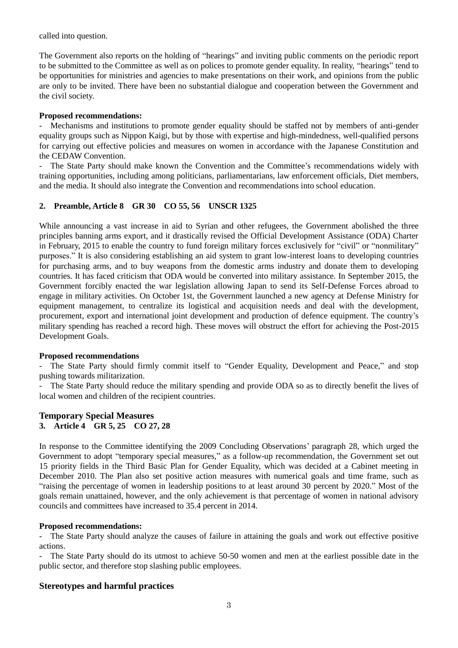called into question.

The Government also reports on the holding of "hearings" and inviting public comments on the periodic report to be submitted to the Committee as well as on polices to promote gender equality. In reality, "hearings" tend to be opportunities for ministries and agencies to make presentations on their work, and opinions from the public are only to be invited. There have been no substantial dialogue and cooperation between the Government and the civil society.

# **Proposed recommendations:**

Mechanisms and institutions to promote gender equality should be staffed not by members of anti-gender equality groups such as Nippon Kaigi, but by those with expertise and high-mindedness, well-qualified persons for carrying out effective policies and measures on women in accordance with the Japanese Constitution and the CEDAW Convention.

- The State Party should make known the Convention and the Committee's recommendations widely with training opportunities, including among politicians, parliamentarians, law enforcement officials, Diet members, and the media. It should also integrate the Convention and recommendations into school education.

# **2. Preamble, Article 8 GR 30 CO 55, 56 UNSCR 1325**

While announcing a vast increase in aid to Syrian and other refugees, the Government abolished the three principles banning arms export, and it drastically revised the Official Development Assistance (ODA) Charter in February, 2015 to enable the country to fund foreign military forces exclusively for "civil" or "nonmilitary" purposes." It is also considering establishing an aid system to grant low-interest loans to developing countries for purchasing arms, and to buy weapons from the domestic arms industry and donate them to developing countries. It has faced criticism that ODA would be converted into military assistance. In September 2015, the Government forcibly enacted the war legislation allowing Japan to send its Self-Defense Forces abroad to engage in military activities. On October 1st, the Government launched a new agency at Defense Ministry for equipment management, to centralize its logistical and acquisition needs and deal with the development, procurement, export and international joint development and production of defence equipment. The country's military spending has reached a record high. These moves will obstruct the effort for achieving the Post-2015 Development Goals.

# **Proposed recommendations**

The State Party should firmly commit itself to "Gender Equality, Development and Peace," and stop pushing towards militarization.

The State Party should reduce the military spending and provide ODA so as to directly benefit the lives of local women and children of the recipient countries.

# **Temporary Special Measures 3. Article 4 GR 5, 25 CO 27, 28**

In response to the Committee identifying the 2009 Concluding Observations' paragraph 28, which urged the Government to adopt "temporary special measures," as a follow-up recommendation, the Government set out 15 priority fields in the Third Basic Plan for Gender Equality, which was decided at a Cabinet meeting in December 2010. The Plan also set positive action measures with numerical goals and time frame, such as "raising the percentage of women in leadership positions to at least around 30 percent by 2020." Most of the goals remain unattained, however, and the only achievement is that percentage of women in national advisory councils and committees have increased to 35.4 percent in 2014.

# **Proposed recommendations:**

- The State Party should analyze the causes of failure in attaining the goals and work out effective positive actions.

The State Party should do its utmost to achieve 50-50 women and men at the earliest possible date in the public sector, and therefore stop slashing public employees.

# **Stereotypes and harmful practices**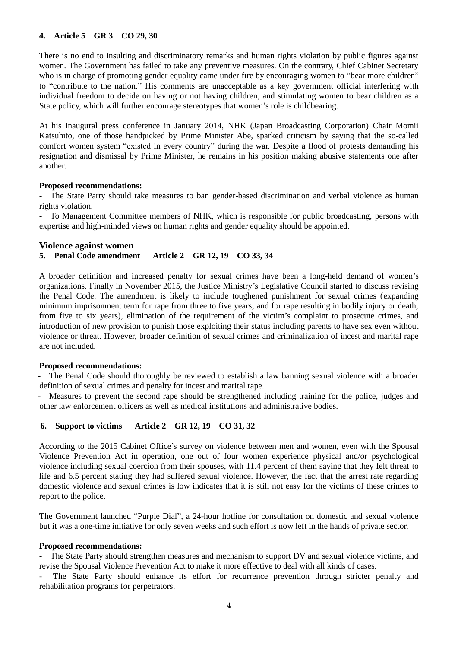# **4. Article 5 GR 3 CO 29, 30**

There is no end to insulting and discriminatory remarks and human rights violation by public figures against women. The Government has failed to take any preventive measures. On the contrary, Chief Cabinet Secretary who is in charge of promoting gender equality came under fire by encouraging women to "bear more children" to "contribute to the nation." His comments are unacceptable as a key government official interfering with individual freedom to decide on having or not having children, and stimulating women to bear children as a State policy, which will further encourage stereotypes that women's role is childbearing.

At his inaugural press conference in January 2014, NHK (Japan Broadcasting Corporation) Chair Momii Katsuhito, one of those handpicked by Prime Minister Abe, sparked criticism by saying that the so-called comfort women system "existed in every country" during the war. Despite a flood of protests demanding his resignation and dismissal by Prime Minister, he remains in his position making abusive statements one after another.

### **Proposed recommendations:**

The State Party should take measures to ban gender-based discrimination and verbal violence as human rights violation.

- To Management Committee members of NHK, which is responsible for public broadcasting, persons with expertise and high-minded views on human rights and gender equality should be appointed.

### **Violence against women**

### **5. Penal Code amendment Article 2 GR 12, 19 CO 33, 34**

A broader definition and increased penalty for sexual crimes have been a long-held demand of women's organizations. Finally in November 2015, the Justice Ministry's Legislative Council started to discuss revising the Penal Code. The amendment is likely to include toughened punishment for sexual crimes (expanding minimum imprisonment term for rape from three to five years; and for rape resulting in bodily injury or death, from five to six years), elimination of the requirement of the victim's complaint to prosecute crimes, and introduction of new provision to punish those exploiting their status including parents to have sex even without violence or threat. However, broader definition of sexual crimes and criminalization of incest and marital rape are not included.

#### **Proposed recommendations:**

- The Penal Code should thoroughly be reviewed to establish a law banning sexual violence with a broader definition of sexual crimes and penalty for incest and marital rape.

Measures to prevent the second rape should be strengthened including training for the police, judges and other law enforcement officers as well as medical institutions and administrative bodies.

# **6. Support to victims Article 2 GR 12, 19 CO 31, 32**

According to the 2015 Cabinet Office's survey on violence between men and women, even with the Spousal Violence Prevention Act in operation, one out of four women experience physical and/or psychological violence including sexual coercion from their spouses, with 11.4 percent of them saying that they felt threat to life and 6.5 percent stating they had suffered sexual violence. However, the fact that the arrest rate regarding domestic violence and sexual crimes is low indicates that it is still not easy for the victims of these crimes to report to the police.

The Government launched "Purple Dial", a 24-hour hotline for consultation on domestic and sexual violence but it was a one-time initiative for only seven weeks and such effort is now left in the hands of private sector.

#### **Proposed recommendations:**

The State Party should strengthen measures and mechanism to support DV and sexual violence victims, and revise the Spousal Violence Prevention Act to make it more effective to deal with all kinds of cases.

The State Party should enhance its effort for recurrence prevention through stricter penalty and rehabilitation programs for perpetrators.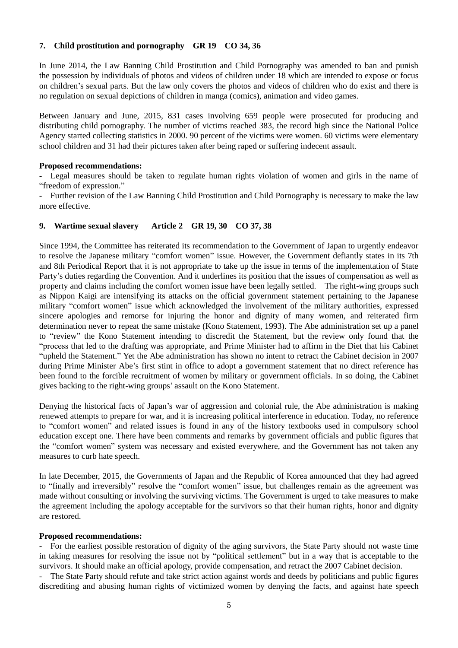# **7. Child prostitution and pornography GR 19 CO 34, 36**

In June 2014, the Law Banning Child Prostitution and Child Pornography was amended to ban and punish the possession by individuals of photos and videos of children under 18 which are intended to expose or focus on children's sexual parts. But the law only covers the photos and videos of children who do exist and there is no regulation on sexual depictions of children in manga (comics), animation and video games.

Between January and June, 2015, 831 cases involving 659 people were prosecuted for producing and distributing child pornography. The number of victims reached 383, the record high since the National Police Agency started collecting statistics in 2000. 90 percent of the victims were women. 60 victims were elementary school children and 31 had their pictures taken after being raped or suffering indecent assault.

# **Proposed recommendations:**

Legal measures should be taken to regulate human rights violation of women and girls in the name of "freedom of expression."

- Further revision of the Law Banning Child Prostitution and Child Pornography is necessary to make the law more effective.

# **9. Wartime sexual slavery Article 2 GR 19, 30 CO 37, 38**

Since 1994, the Committee has reiterated its recommendation to the Government of Japan to urgently endeavor to resolve the Japanese military "comfort women" issue. However, the Government defiantly states in its 7th and 8th Periodical Report that it is not appropriate to take up the issue in terms of the implementation of State Party's duties regarding the Convention. And it underlines its position that the issues of compensation as well as property and claims including the comfort women issue have been legally settled. The right-wing groups such as Nippon Kaigi are intensifying its attacks on the official government statement pertaining to the Japanese military "comfort women" issue which acknowledged the involvement of the military authorities, expressed sincere apologies and remorse for injuring the honor and dignity of many women, and reiterated firm determination never to repeat the same mistake (Kono Statement, 1993). The Abe administration set up a panel to "review" the Kono Statement intending to discredit the Statement, but the review only found that the "process that led to the drafting was appropriate, and Prime Minister had to affirm in the Diet that his Cabinet "upheld the Statement." Yet the Abe administration has shown no intent to retract the Cabinet decision in 2007 during Prime Minister Abe's first stint in office to adopt a government statement that no direct reference has been found to the forcible recruitment of women by military or government officials. In so doing, the Cabinet gives backing to the right-wing groups' assault on the Kono Statement.

Denying the historical facts of Japan's war of aggression and colonial rule, the Abe administration is making renewed attempts to prepare for war, and it is increasing political interference in education. Today, no reference to "comfort women" and related issues is found in any of the history textbooks used in compulsory school education except one. There have been comments and remarks by government officials and public figures that the "comfort women" system was necessary and existed everywhere, and the Government has not taken any measures to curb hate speech.

In late December, 2015, the Governments of Japan and the Republic of Korea announced that they had agreed to "finally and irreversibly" resolve the "comfort women" issue, but challenges remain as the agreement was made without consulting or involving the surviving victims. The Government is urged to take measures to make the agreement including the apology acceptable for the survivors so that their human rights, honor and dignity are restored.

# **Proposed recommendations:**

- For the earliest possible restoration of dignity of the aging survivors, the State Party should not waste time in taking measures for resolving the issue not by "political settlement" but in a way that is acceptable to the survivors. It should make an official apology, provide compensation, and retract the 2007 Cabinet decision.

- The State Party should refute and take strict action against words and deeds by politicians and public figures discrediting and abusing human rights of victimized women by denying the facts, and against hate speech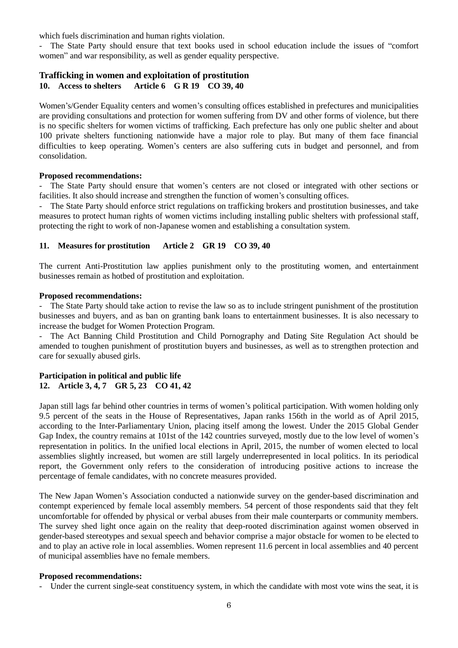which fuels discrimination and human rights violation.

- The State Party should ensure that text books used in school education include the issues of "comfort women" and war responsibility, as well as gender equality perspective.

# **Trafficking in women and exploitation of prostitution**

## **10. Access to shelters Article 6 G R 19 CO 39, 40**

Women's/Gender Equality centers and women's consulting offices established in prefectures and municipalities are providing consultations and protection for women suffering from DV and other forms of violence, but there is no specific shelters for women victims of trafficking. Each prefecture has only one public shelter and about 100 private shelters functioning nationwide have a major role to play. But many of them face financial difficulties to keep operating. Women's centers are also suffering cuts in budget and personnel, and from consolidation.

### **Proposed recommendations:**

The State Party should ensure that women's centers are not closed or integrated with other sections or facilities. It also should increase and strengthen the function of women's consulting offices.

The State Party should enforce strict regulations on trafficking brokers and prostitution businesses, and take measures to protect human rights of women victims including installing public shelters with professional staff, protecting the right to work of non-Japanese women and establishing a consultation system.

# **11. Measures for prostitution Article 2 GR 19 CO 39, 40**

The current Anti-Prostitution law applies punishment only to the prostituting women, and entertainment businesses remain as hotbed of prostitution and exploitation.

### **Proposed recommendations:**

- The State Party should take action to revise the law so as to include stringent punishment of the prostitution businesses and buyers, and as ban on granting bank loans to entertainment businesses. It is also necessary to increase the budget for Women Protection Program.

The Act Banning Child Prostitution and Child Pornography and Dating Site Regulation Act should be amended to toughen punishment of prostitution buyers and businesses, as well as to strengthen protection and care for sexually abused girls.

## **Participation in political and public life 12. Article 3, 4, 7 GR 5, 23 CO 41, 42**

Japan still lags far behind other countries in terms of women's political participation. With women holding only 9.5 percent of the seats in the House of Representatives, Japan ranks 156th in the world as of April 2015, according to the Inter-Parliamentary Union, placing itself among the lowest. Under the 2015 Global Gender Gap Index, the country remains at 101st of the 142 countries surveyed, mostly due to the low level of women's representation in politics. In the unified local elections in April, 2015, the number of women elected to local assemblies slightly increased, but women are still largely underrepresented in local politics. In its periodical report, the Government only refers to the consideration of introducing positive actions to increase the percentage of female candidates, with no concrete measures provided.

The New Japan Women's Association conducted a nationwide survey on the gender-based discrimination and contempt experienced by female local assembly members. 54 percent of those respondents said that they felt uncomfortable for offended by physical or verbal abuses from their male counterparts or community members. The survey shed light once again on the reality that deep-rooted discrimination against women observed in gender-based stereotypes and sexual speech and behavior comprise a major obstacle for women to be elected to and to play an active role in local assemblies. Women represent 11.6 percent in local assemblies and 40 percent of municipal assemblies have no female members.

# **Proposed recommendations:**

- Under the current single-seat constituency system, in which the candidate with most vote wins the seat, it is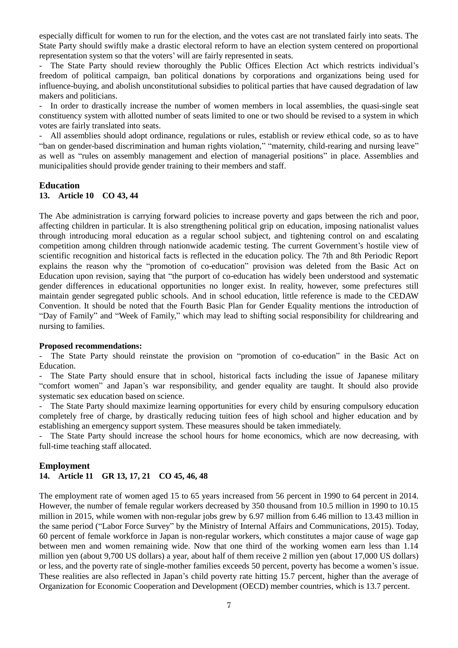especially difficult for women to run for the election, and the votes cast are not translated fairly into seats. The State Party should swiftly make a drastic electoral reform to have an election system centered on proportional representation system so that the voters' will are fairly represented in seats.

The State Party should review thoroughly the Public Offices Election Act which restricts individual's freedom of political campaign, ban political donations by corporations and organizations being used for influence-buying, and abolish unconstitutional subsidies to political parties that have caused degradation of law makers and politicians.

- In order to drastically increase the number of women members in local assemblies, the quasi-single seat constituency system with allotted number of seats limited to one or two should be revised to a system in which votes are fairly translated into seats.

- All assemblies should adopt ordinance, regulations or rules, establish or review ethical code, so as to have "ban on gender-based discrimination and human rights violation," "maternity, child-rearing and nursing leave" as well as "rules on assembly management and election of managerial positions" in place. Assemblies and municipalities should provide gender training to their members and staff.

#### **Education**

# **13. Article 10 CO 43, 44**

The Abe administration is carrying forward policies to increase poverty and gaps between the rich and poor, affecting children in particular. It is also strengthening political grip on education, imposing nationalist values through introducing moral education as a regular school subject, and tightening control on and escalating competition among children through nationwide academic testing. The current Government's hostile view of scientific recognition and historical facts is reflected in the education policy. The 7th and 8th Periodic Report explains the reason why the "promotion of co-education" provision was deleted from the Basic Act on Education upon revision, saying that "the purport of co-education has widely been understood and systematic gender differences in educational opportunities no longer exist. In reality, however, some prefectures still maintain gender segregated public schools. And in school education, little reference is made to the CEDAW Convention. It should be noted that the Fourth Basic Plan for Gender Equality mentions the introduction of "Day of Family" and "Week of Family," which may lead to shifting social responsibility for childrearing and nursing to families.

#### **Proposed recommendations:**

- The State Party should reinstate the provision on "promotion of co-education" in the Basic Act on Education.

The State Party should ensure that in school, historical facts including the issue of Japanese military "comfort women" and Japan's war responsibility, and gender equality are taught. It should also provide systematic sex education based on science.

The State Party should maximize learning opportunities for every child by ensuring compulsory education completely free of charge, by drastically reducing tuition fees of high school and higher education and by establishing an emergency support system. These measures should be taken immediately.

The State Party should increase the school hours for home economics, which are now decreasing, with full-time teaching staff allocated.

#### **Employment**

# **14. Article 11 GR 13, 17, 21 CO 45, 46, 48**

The employment rate of women aged 15 to 65 years increased from 56 percent in 1990 to 64 percent in 2014. However, the number of female regular workers decreased by 350 thousand from 10.5 million in 1990 to 10.15 million in 2015, while women with non-regular jobs grew by 6.97 million from 6.46 million to 13.43 million in the same period ("Labor Force Survey" by the Ministry of Internal Affairs and Communications, 2015). Today, 60 percent of female workforce in Japan is non-regular workers, which constitutes a major cause of wage gap between men and women remaining wide. Now that one third of the working women earn less than 1.14 million yen (about 9,700 US dollars) a year, about half of them receive 2 million yen (about 17,000 US dollars) or less, and the poverty rate of single-mother families exceeds 50 percent, poverty has become a women's issue. These realities are also reflected in Japan's child poverty rate hitting 15.7 percent, higher than the average of Organization for Economic Cooperation and Development (OECD) member countries, which is 13.7 percent.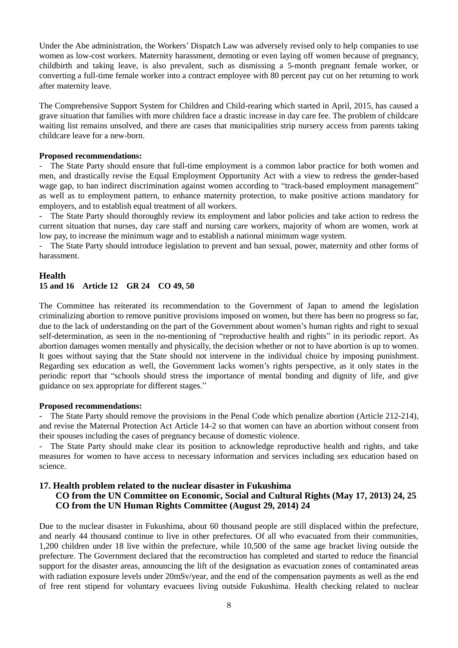Under the Abe administration, the Workers' Dispatch Law was adversely revised only to help companies to use women as low-cost workers. Maternity harassment, demoting or even laying off women because of pregnancy, childbirth and taking leave, is also prevalent, such as dismissing a 5-month pregnant female worker, or converting a full-time female worker into a contract employee with 80 percent pay cut on her returning to work after maternity leave.

The Comprehensive Support System for Children and Child-rearing which started in April, 2015, has caused a grave situation that families with more children face a drastic increase in day care fee. The problem of childcare waiting list remains unsolved, and there are cases that municipalities strip nursery access from parents taking childcare leave for a new-born.

#### **Proposed recommendations:**

- The State Party should ensure that full-time employment is a common labor practice for both women and men, and drastically revise the Equal Employment Opportunity Act with a view to redress the gender-based wage gap, to ban indirect discrimination against women according to "track-based employment management" as well as to employment pattern, to enhance maternity protection, to make positive actions mandatory for employers, and to establish equal treatment of all workers.

The State Party should thoroughly review its employment and labor policies and take action to redress the current situation that nurses, day care staff and nursing care workers, majority of whom are women, work at low pay, to increase the minimum wage and to establish a national minimum wage system.

The State Party should introduce legislation to prevent and ban sexual, power, maternity and other forms of harassment.

# **Health 15 and 16 Article 12 GR 24 CO 49, 50**

The Committee has reiterated its recommendation to the Government of Japan to amend the legislation criminalizing abortion to remove punitive provisions imposed on women, but there has been no progress so far, due to the lack of understanding on the part of the Government about women's human rights and right to sexual self-determination, as seen in the no-mentioning of "reproductive health and rights" in its periodic report. As abortion damages women mentally and physically, the decision whether or not to have abortion is up to women. It goes without saying that the State should not intervene in the individual choice by imposing punishment. Regarding sex education as well, the Government lacks women's rights perspective, as it only states in the periodic report that "schools should stress the importance of mental bonding and dignity of life, and give guidance on sex appropriate for different stages."

#### **Proposed recommendations:**

- The State Party should remove the provisions in the Penal Code which penalize abortion (Article 212-214), and revise the Maternal Protection Act Article 14-2 so that women can have an abortion without consent from their spouses including the cases of pregnancy because of domestic violence.

- The State Party should make clear its position to acknowledge reproductive health and rights, and take measures for women to have access to necessary information and services including sex education based on science.

# **17. Health problem related to the nuclear disaster in Fukushima CO from the UN Committee on Economic, Social and Cultural Rights (May 17, 2013) 24, 25 CO from the UN Human Rights Committee (August 29, 2014) 24**

Due to the nuclear disaster in Fukushima, about 60 thousand people are still displaced within the prefecture, and nearly 44 thousand continue to live in other prefectures. Of all who evacuated from their communities, 1,200 children under 18 live within the prefecture, while 10,500 of the same age bracket living outside the prefecture. The Government declared that the reconstruction has completed and started to reduce the financial support for the disaster areas, announcing the lift of the designation as evacuation zones of contaminated areas with radiation exposure levels under 20mSv/year, and the end of the compensation payments as well as the end of free rent stipend for voluntary evacuees living outside Fukushima. Health checking related to nuclear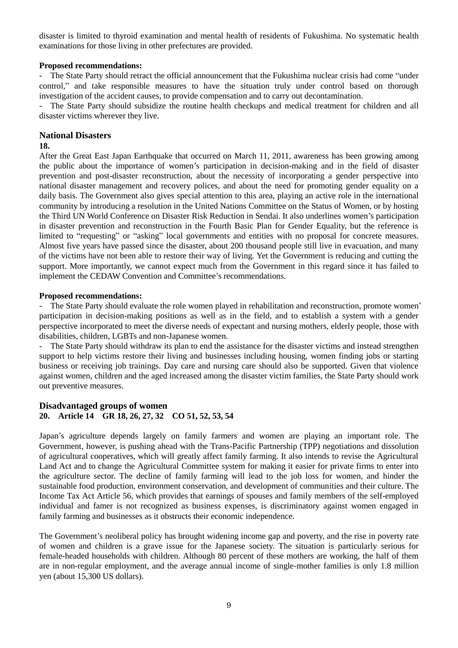disaster is limited to thyroid examination and mental health of residents of Fukushima. No systematic health examinations for those living in other prefectures are provided.

# **Proposed recommendations:**

The State Party should retract the official announcement that the Fukushima nuclear crisis had come "under control," and take responsible measures to have the situation truly under control based on thorough investigation of the accident causes, to provide compensation and to carry out decontamination.

- The State Party should subsidize the routine health checkups and medical treatment for children and all disaster victims wherever they live.

### **National Disasters**

### **18.**

After the Great East Japan Earthquake that occurred on March 11, 2011, awareness has been growing among the public about the importance of women's participation in decision-making and in the field of disaster prevention and post-disaster reconstruction, about the necessity of incorporating a gender perspective into national disaster management and recovery polices, and about the need for promoting gender equality on a daily basis. The Government also gives special attention to this area, playing an active role in the international community by introducing a resolution in the United Nations Committee on the Status of Women, or by hosting the Third UN World Conference on Disaster Risk Reduction in Sendai. It also underlines women's participation in disaster prevention and reconstruction in the Fourth Basic Plan for Gender Equality, but the reference is limited to "requesting" or "asking" local governments and entities with no proposal for concrete measures. Almost five years have passed since the disaster, about 200 thousand people still live in evacuation, and many of the victims have not been able to restore their way of living. Yet the Government is reducing and cutting the support. More importantly, we cannot expect much from the Government in this regard since it has failed to implement the CEDAW Convention and Committee's recommendations.

#### **Proposed recommendations:**

- The State Party should evaluate the role women played in rehabilitation and reconstruction, promote women' participation in decision-making positions as well as in the field, and to establish a system with a gender perspective incorporated to meet the diverse needs of expectant and nursing mothers, elderly people, those with disabilities, children, LGBTs and non-Japanese women.

- The State Party should withdraw its plan to end the assistance for the disaster victims and instead strengthen support to help victims restore their living and businesses including housing, women finding jobs or starting business or receiving job trainings. Day care and nursing care should also be supported. Given that violence against women, children and the aged increased among the disaster victim families, the State Party should work out preventive measures.

# **Disadvantaged groups of women 20. Article 14 GR 18, 26, 27, 32 CO 51, 52, 53, 54**

Japan's agriculture depends largely on family farmers and women are playing an important role. The Government, however, is pushing ahead with the Trans-Pacific Partnership (TPP) negotiations and dissolution of agricultural cooperatives, which will greatly affect family farming. It also intends to revise the Agricultural Land Act and to change the Agricultural Committee system for making it easier for private firms to enter into the agriculture sector. The decline of family farming will lead to the job loss for women, and hinder the sustainable food production, environment conservation, and development of communities and their culture. The Income Tax Act Article 56, which provides that earnings of spouses and family members of the self-employed individual and famer is not recognized as business expenses, is discriminatory against women engaged in family farming and businesses as it obstructs their economic independence.

The Government's neoliberal policy has brought widening income gap and poverty, and the rise in poverty rate of women and children is a grave issue for the Japanese society. The situation is particularly serious for female-headed households with children. Although 80 percent of these mothers are working, the half of them are in non-regular employment, and the average annual income of single-mother families is only 1.8 million yen (about 15,300 US dollars).